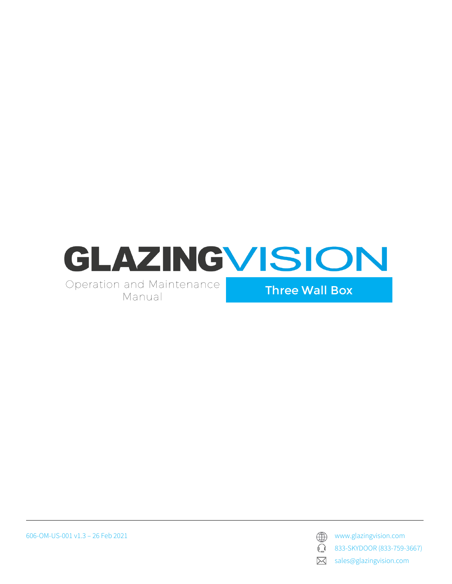

Operation and Maintenance Manual

Three Wall Box

606-OM-US-001 v1.3 – 26 Feb 2021 www.glazingvision.com

 $\mathbb{C}$ 

833-SKYDOOR (833-759-3667)

sales@glazingvision.com  $\boxtimes$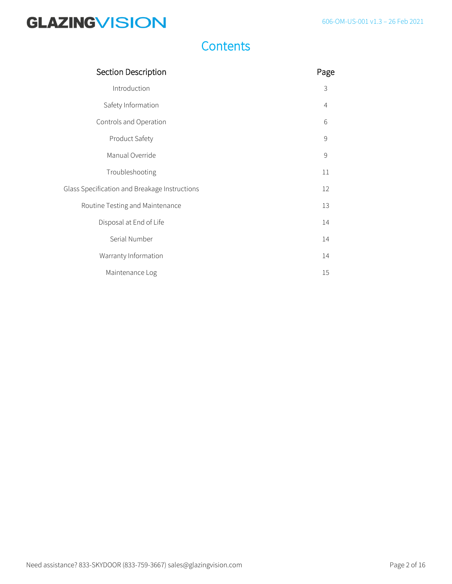### **Contents**

| Section Description                           | Page |
|-----------------------------------------------|------|
| Introduction                                  | 3    |
| Safety Information                            | 4    |
| Controls and Operation                        | 6    |
| Product Safety                                | 9    |
| Manual Override                               | 9    |
| Troubleshooting                               | 11   |
| Glass Specification and Breakage Instructions | 12   |
| Routine Testing and Maintenance               | 13   |
| Disposal at End of Life                       | 14   |
| Serial Number                                 | 14   |
| Warranty Information                          | 14   |
| Maintenance Log                               | 15   |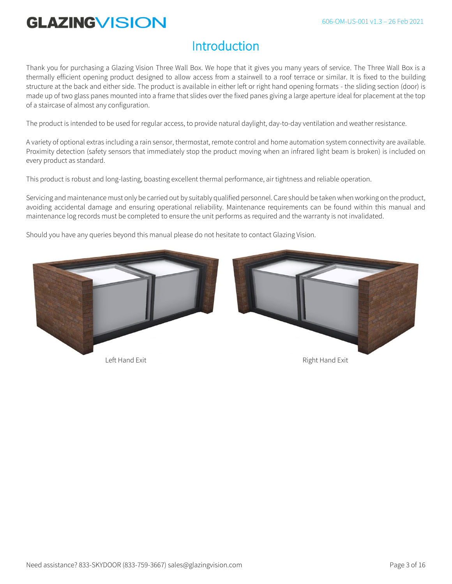### **Introduction**

Thank you for purchasing a Glazing Vision Three Wall Box. We hope that it gives you many years of service. The Three Wall Box is a thermally efficient opening product designed to allow access from a stairwell to a roof terrace or similar. It is fixed to the building structure at the back and either side. The product is available in either left or right hand opening formats - the sliding section (door) is made up of two glass panes mounted into a frame that slides over the fixed panes giving a large aperture ideal for placement at the top of a staircase of almost any configuration.

The product is intended to be used for regular access, to provide natural daylight, day-to-day ventilation and weather resistance.

A variety of optional extras including a rain sensor, thermostat, remote control and home automation system connectivity are available. Proximity detection (safety sensors that immediately stop the product moving when an infrared light beam is broken) is included on every product as standard.

This product is robust and long-lasting, boasting excellent thermal performance, air tightness and reliable operation.

Servicing and maintenance must only be carried out by suitably qualified personnel. Care should be taken when working on the product, avoiding accidental damage and ensuring operational reliability. Maintenance requirements can be found within this manual and maintenance log records must be completed to ensure the unit performs as required and the warranty is not invalidated.

Should you have any queries beyond this manual please do not hesitate to contact Glazing Vision.

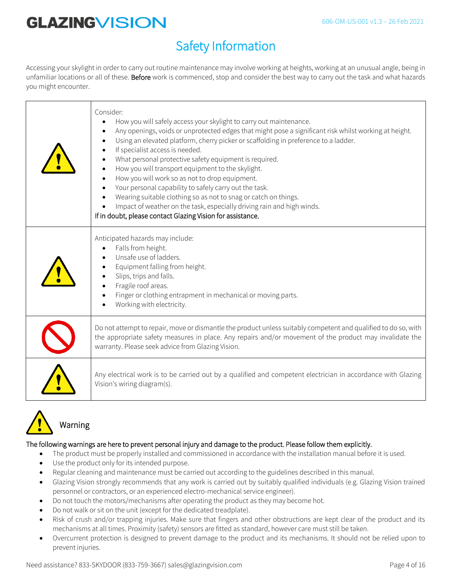## Safety Information

Accessing your skylight in order to carry out routine maintenance may involve working at heights, working at an unusual angle, being in unfamiliar locations or all of these. Before work is commenced, stop and consider the best way to carry out the task and what hazards you might encounter.

| Consider:<br>How you will safely access your skylight to carry out maintenance.<br>Any openings, voids or unprotected edges that might pose a significant risk whilst working at height.<br>Using an elevated platform, cherry picker or scaffolding in preference to a ladder.<br>If specialist access is needed.<br>What personal protective safety equipment is required.<br>How you will transport equipment to the skylight.<br>How you will work so as not to drop equipment.<br>Your personal capability to safely carry out the task.<br>Wearing suitable clothing so as not to snag or catch on things.<br>Impact of weather on the task, especially driving rain and high winds.<br>If in doubt, please contact Glazing Vision for assistance. |
|----------------------------------------------------------------------------------------------------------------------------------------------------------------------------------------------------------------------------------------------------------------------------------------------------------------------------------------------------------------------------------------------------------------------------------------------------------------------------------------------------------------------------------------------------------------------------------------------------------------------------------------------------------------------------------------------------------------------------------------------------------|
| Anticipated hazards may include:<br>Falls from height.<br>Unsafe use of ladders.<br>Equipment falling from height.<br>Slips, trips and falls.<br>Fragile roof areas.<br>Finger or clothing entrapment in mechanical or moving parts.<br>Working with electricity.                                                                                                                                                                                                                                                                                                                                                                                                                                                                                        |
| Do not attempt to repair, move or dismantle the product unless suitably competent and qualified to do so, with<br>the appropriate safety measures in place. Any repairs and/or movement of the product may invalidate the<br>warranty. Please seek advice from Glazing Vision.                                                                                                                                                                                                                                                                                                                                                                                                                                                                           |
| Any electrical work is to be carried out by a qualified and competent electrician in accordance with Glazing<br>Vision's wiring diagram(s).                                                                                                                                                                                                                                                                                                                                                                                                                                                                                                                                                                                                              |



### The following warnings are here to prevent personal injury and damage to the product. Please follow them explicitly.

- The product must be properly installed and commissioned in accordance with the installation manual before it is used.
- Use the product only for its intended purpose.
- Regular cleaning and maintenance must be carried out according to the guidelines described in this manual.
- Glazing Vision strongly recommends that any work is carried out by suitably qualified individuals (e.g. Glazing Vision trained personnel or contractors, or an experienced electro-mechanical service engineer).
- Do not touch the motors/mechanisms after operating the product as they may become hot.
- Do not walk or sit on the unit (except for the dedicated treadplate).
- Risk of crush and/or trapping injuries. Make sure that fingers and other obstructions are kept clear of the product and its mechanisms at all times. Proximity (safety) sensors are fitted as standard, however care must still be taken.
- Overcurrent protection is designed to prevent damage to the product and its mechanisms. It should not be relied upon to prevent injuries.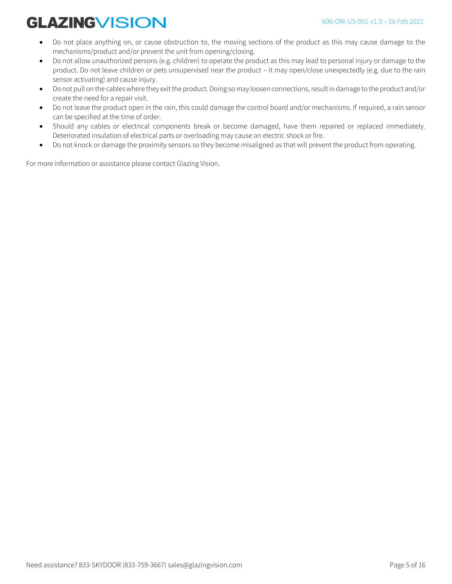- Do not place anything on, or cause obstruction to, the moving sections of the product as this may cause damage to the mechanisms/product and/or prevent the unit from opening/closing.
- Do not allow unauthorized persons (e.g. children) to operate the product as this may lead to personal injury or damage to the product. Do not leave children or pets unsupervised near the product – it may open/close unexpectedly (e.g. due to the rain sensor activating) and cause injury.
- Do not pull on the cables where they exit the product. Doing so may loosen connections, result in damage to the product and/or create the need for a repair visit.
- Do not leave the product open in the rain, this could damage the control board and/or mechanisms. If required, a rain sensor can be specified at the time of order.
- Should any cables or electrical components break or become damaged, have them repaired or replaced immediately. Deteriorated insulation of electrical parts or overloading may cause an electric shock or fire.
- Do not knock or damage the proximity sensors so they become misaligned as that will prevent the product from operating.

For more information or assistance please contact Glazing Vision.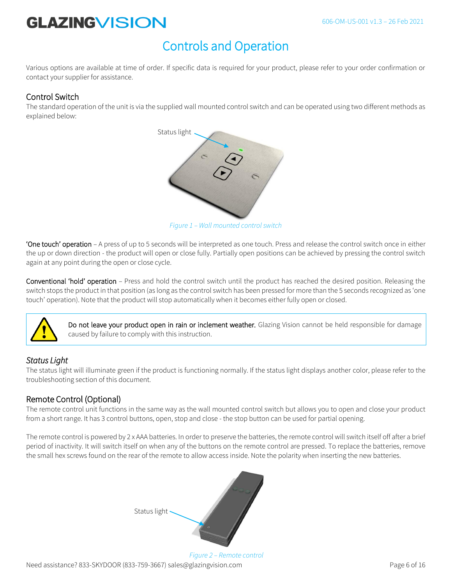## Controls and Operation

Various options are available at time of order. If specific data is required for your product, please refer to your order confirmation or contact your supplier for assistance.

#### Control Switch

The standard operation of the unit is via the supplied wall mounted control switch and can be operated using two different methods as explained below:



*Figure 1 – Wall mounted control switch*

'One touch' operation – A press of up to 5 seconds will be interpreted as one touch. Press and release the control switch once in either the up or down direction - the product will open or close fully. Partially open positions can be achieved by pressing the control switch again at any point during the open or close cycle.

Conventional 'hold' operation – Press and hold the control switch until the product has reached the desired position. Releasing the switch stops the product in that position (as long as the control switch has been pressed for more than the 5 seconds recognized as 'one touch' operation). Note that the product will stop automatically when it becomes either fully open or closed.



Do not leave your product open in rain or inclement weather. Glazing Vision cannot be held responsible for damage caused by failure to comply with this instruction.

#### *Status Light*

The status light will illuminate green if the product is functioning normally. If the status light displays another color, please refer to the troubleshooting section of this document.

#### Remote Control (Optional)

The remote control unit functions in the same way as the wall mounted control switch but allows you to open and close your product from a short range. It has 3 control buttons, open, stop and close - the stop button can be used for partial opening.

The remote control is powered by 2 x AAA batteries. In order to preserve the batteries, the remote control will switch itself off after a brief period of inactivity. It will switch itself on when any of the buttons on the remote control are pressed. To replace the batteries, remove the small hex screws found on the rear of the remote to allow access inside. Note the polarity when inserting the new batteries.



Need assistance? 833-SKYDOOR (833-759-3667) sales@glazingvision.com example the example of 16 *Figure 2 – Remote control*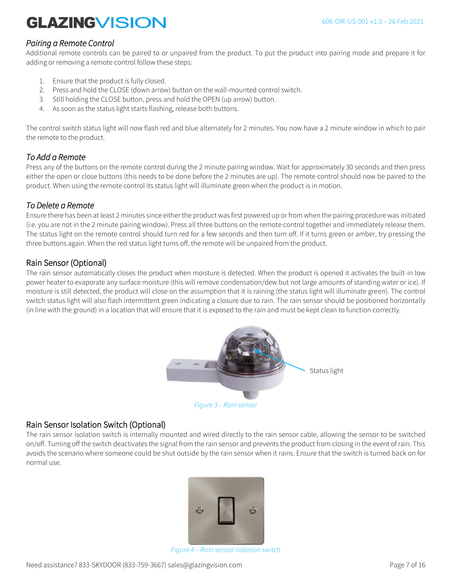#### *Pairing a Remote Control*

Additional remote controls can be paired to or unpaired from the product. To put the product into pairing mode and prepare it for adding or removing a remote control follow these steps:

- 1. Ensure that the product is fully closed.
- 2. Press and hold the CLOSE (down arrow) button on the wall-mounted control switch.
- 3. Still holding the CLOSE button, press and hold the OPEN (up arrow) button.
- 4. As soon as the status light starts flashing, release both buttons.

The control switch status light will now flash red and blue alternately for 2 minutes. You now have a 2 minute window in which to pair the remote to the product.

#### *To Add a Remote*

Press any of the buttons on the remote control during the 2 minute pairing window. Wait for approximately 30 seconds and then press either the open or close buttons (this needs to be done before the 2 minutes are up). The remote control should now be paired to the product. When using the remote control its status light will illuminate green when the product is in motion.

#### *To Delete a Remote*

Ensure there has been at least 2 minutes since either the product was first powered up or from when the pairing procedure was initiated (i.e. you are not in the 2 minute pairing window). Press all three buttons on the remote control together and immediately release them. The status light on the remote control should turn red for a few seconds and then turn off. If it turns green or amber, try pressing the three buttons again. When the red status light turns off, the remote will be unpaired from the product.

#### Rain Sensor (Optional)

The rain sensor automatically closes the product when moisture is detected. When the product is opened it activates the built-in low power heater to evaporate any surface moisture (this will remove condensation/dew but not large amounts of standing water or ice). If moisture is still detected, the product will close on the assumption that it is raining (the status light will illuminate green). The control switch status light will also flash intermittent green indicating a closure due to rain. The rain sensor should be positioned horizontally (in line with the ground) in a location that will ensure that it is exposed to the rain and must be kept clean to function correctly.



#### Rain Sensor Isolation Switch (Optional)

The rain sensor isolation switch is internally mounted and wired directly to the rain sensor cable, allowing the sensor to be switched on/off. Turning off the switch deactivates the signal from the rain sensor and prevents the product from closing in the event of rain. This avoids the scenario where someone could be shut outside by the rain sensor when it rains. Ensure that the switch is turned back on for normal use.



*Figure 4 – Rain sensor isolation switch*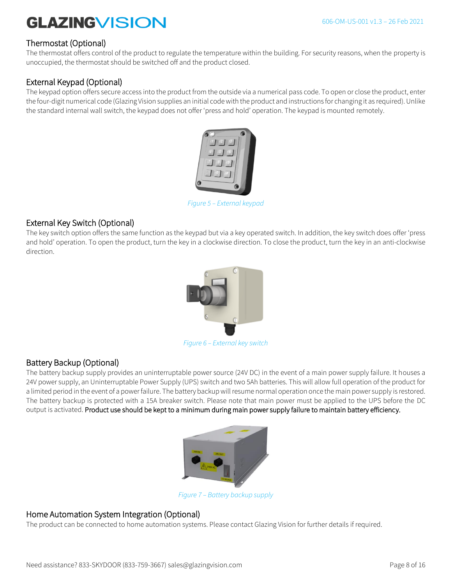#### Thermostat (Optional)

The thermostat offers control of the product to regulate the temperature within the building. For security reasons, when the property is unoccupied, the thermostat should be switched off and the product closed.

#### External Keypad (Optional)

The keypad option offers secure access into the product from the outside via a numerical pass code. To open or close the product, enter the four-digit numerical code (Glazing Vision supplies an initial code with the product and instructions for changing it as required). Unlike the standard internal wall switch, the keypad does not offer 'press and hold' operation. The keypad is mounted remotely.



*Figure 5 – External keypad*

#### External Key Switch (Optional)

The key switch option offers the same function as the keypad but via a key operated switch. In addition, the key switch does offer 'press and hold' operation. To open the product, turn the key in a clockwise direction. To close the product, turn the key in an anti-clockwise direction.



*Figure 6 – External key switch*

#### Battery Backup (Optional)

The battery backup supply provides an uninterruptable power source (24V DC) in the event of a main power supply failure. It houses a 24V power supply, an Uninterruptable Power Supply (UPS) switch and two 5Ah batteries. This will allow full operation of the product for a limited period in the event of a power failure. The battery backup will resume normal operation once the main power supply is restored. The battery backup is protected with a 15A breaker switch. Please note that main power must be applied to the UPS before the DC output is activated. Product use should be kept to a minimum during main power supply failure to maintain battery efficiency.



*Figure 7 – Battery backup supply*

#### Home Automation System Integration (Optional)

The product can be connected to home automation systems. Please contact Glazing Vision for further details if required.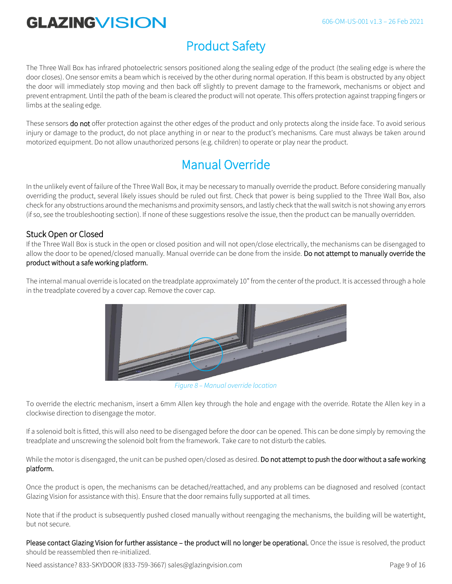## Product Safety

The Three Wall Box has infrared photoelectric sensors positioned along the sealing edge of the product (the sealing edge is where the door closes). One sensor emits a beam which is received by the other during normal operation. If this beam is obstructed by any object the door will immediately stop moving and then back off slightly to prevent damage to the framework, mechanisms or object and prevent entrapment. Until the path of the beam is cleared the product will not operate. This offers protection against trapping fingers or limbs at the sealing edge.

These sensors do not offer protection against the other edges of the product and only protects along the inside face. To avoid serious injury or damage to the product, do not place anything in or near to the product's mechanisms. Care must always be taken around motorized equipment. Do not allow unauthorized persons (e.g. children) to operate or play near the product.

## Manual Override

In the unlikely event of failure of the Three Wall Box, it may be necessary to manually override the product. Before considering manually overriding the product, several likely issues should be ruled out first. Check that power is being supplied to the Three Wall Box, also check for any obstructions around the mechanisms and proximity sensors, and lastly check that the wall switch is not showing any errors (if so, see the troubleshooting section). If none of these suggestions resolve the issue, then the product can be manually overridden.

#### Stuck Open or Closed

If the Three Wall Box is stuck in the open or closed position and will not open/close electrically, the mechanisms can be disengaged to allow the door to be opened/closed manually. Manual override can be done from the inside. Do not attempt to manually override the product without a safe working platform.

The internal manual override is located on the treadplate approximately 10" from the center of the product. It is accessed through a hole in the treadplate covered by a cover cap. Remove the cover cap.



*Figure 8 – Manual override location*

To override the electric mechanism, insert a 6mm Allen key through the hole and engage with the override. Rotate the Allen key in a clockwise direction to disengage the motor.

If a solenoid bolt is fitted, this will also need to be disengaged before the door can be opened. This can be done simply by removing the treadplate and unscrewing the solenoid bolt from the framework. Take care to not disturb the cables.

While the motor is disengaged, the unit can be pushed open/closed as desired. Do not attempt to push the door without a safe working platform.

Once the product is open, the mechanisms can be detached/reattached, and any problems can be diagnosed and resolved (contact Glazing Vision for assistance with this). Ensure that the door remains fully supported at all times.

Note that if the product is subsequently pushed closed manually without reengaging the mechanisms, the building will be watertight, but not secure.

Please contact Glazing Vision for further assistance – the product will no longer be operational. Once the issue is resolved, the product should be reassembled then re-initialized.

Need assistance? 833-SKYDOOR (833-759-3667) sales@glazingvision.com example 20 years are page 9 of 16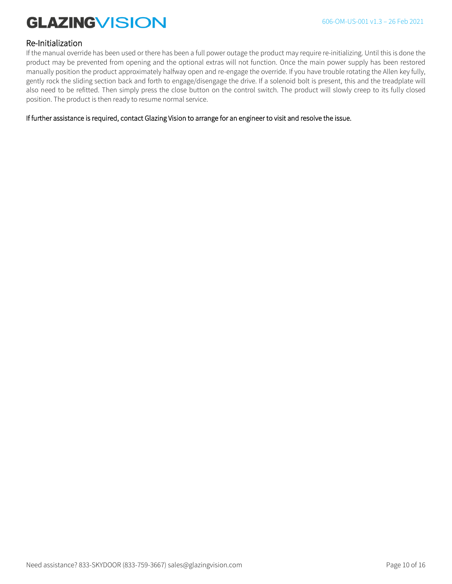#### Re-Initialization

If the manual override has been used or there has been a full power outage the product may require re-initializing. Until this is done the product may be prevented from opening and the optional extras will not function. Once the main power supply has been restored manually position the product approximately halfway open and re-engage the override. If you have trouble rotating the Allen key fully, gently rock the sliding section back and forth to engage/disengage the drive. If a solenoid bolt is present, this and the treadplate will also need to be refitted. Then simply press the close button on the control switch. The product will slowly creep to its fully closed position. The product is then ready to resume normal service.

If further assistance is required, contact Glazing Vision to arrange for an engineer to visit and resolve the issue.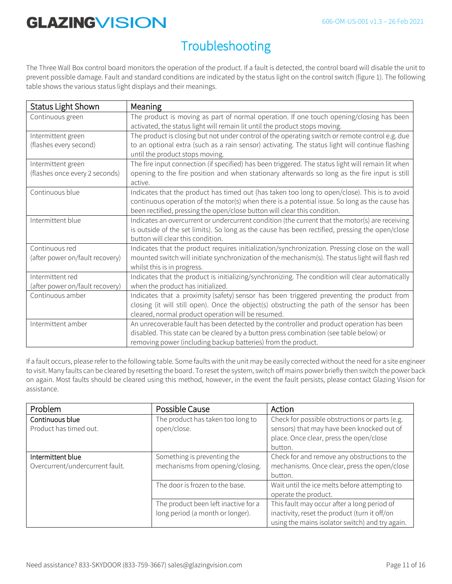## Troubleshooting

The Three Wall Box control board monitors the operation of the product. If a fault is detected, the control board will disable the unit to prevent possible damage. Fault and standard conditions are indicated by the status light on the control switch (figure 1). The following table shows the various status light displays and their meanings.

| Status Light Shown                                   | Meaning                                                                                                                                                                                                                                                                      |
|------------------------------------------------------|------------------------------------------------------------------------------------------------------------------------------------------------------------------------------------------------------------------------------------------------------------------------------|
| Continuous green                                     | The product is moving as part of normal operation. If one touch opening/closing has been<br>activated, the status light will remain lit until the product stops moving.                                                                                                      |
| Intermittent green<br>(flashes every second)         | The product is closing but not under control of the operating switch or remote control e.g. due<br>to an optional extra (such as a rain sensor) activating. The status light will continue flashing<br>until the product stops moving.                                       |
| Intermittent green<br>(flashes once every 2 seconds) | The fire input connection (if specified) has been triggered. The status light will remain lit when<br>opening to the fire position and when stationary afterwards so long as the fire input is still<br>active.                                                              |
| Continuous blue                                      | Indicates that the product has timed out (has taken too long to open/close). This is to avoid<br>continuous operation of the motor(s) when there is a potential issue. So long as the cause has<br>been rectified, pressing the open/close button will clear this condition. |
| Intermittent blue                                    | Indicates an overcurrent or undercurrent condition (the current that the motor(s) are receiving<br>is outside of the set limits). So long as the cause has been rectified, pressing the open/close<br>button will clear this condition.                                      |
| Continuous red<br>(after power on/fault recovery)    | Indicates that the product requires initialization/synchronization. Pressing close on the wall<br>mounted switch will initiate synchronization of the mechanism(s). The status light will flash red<br>whilst this is in progress.                                           |
| Intermittent red<br>(after power on/fault recovery)  | Indicates that the product is initializing/synchronizing. The condition will clear automatically<br>when the product has initialized.                                                                                                                                        |
| Continuous amber                                     | Indicates that a proximity (safety) sensor has been triggered preventing the product from<br>closing (it will still open). Once the object(s) obstructing the path of the sensor has been<br>cleared, normal product operation will be resumed.                              |
| Intermittent amber                                   | An unrecoverable fault has been detected by the controller and product operation has been<br>disabled. This state can be cleared by a button press combination (see table below) or<br>removing power (including backup batteries) from the product.                         |

If a fault occurs, please refer to the following table. Some faults with the unit may be easily corrected without the need for a site engineer to visit. Many faults can be cleared by resetting the board. To reset the system, switch off mains power briefly then switch the power back on again. Most faults should be cleared using this method, however, in the event the fault persists, please contact Glazing Vision for assistance.

| Problem                                              | Possible Cause                                                           | Action                                                                                                                                             |
|------------------------------------------------------|--------------------------------------------------------------------------|----------------------------------------------------------------------------------------------------------------------------------------------------|
| Continuous blue<br>Product has timed out.            | The product has taken too long to<br>open/close.                         | Check for possible obstructions or parts (e.g.<br>sensors) that may have been knocked out of<br>place. Once clear, press the open/close<br>button. |
| Intermittent blue<br>Overcurrent/undercurrent fault. | Something is preventing the<br>mechanisms from opening/closing.          | Check for and remove any obstructions to the<br>mechanisms. Once clear, press the open/close<br>button.                                            |
|                                                      | The door is frozen to the base.                                          | Wait until the ice melts before attempting to<br>operate the product.                                                                              |
|                                                      | The product been left inactive for a<br>long period (a month or longer). | This fault may occur after a long period of<br>inactivity, reset the product (turn it off/on<br>using the mains isolator switch) and try again.    |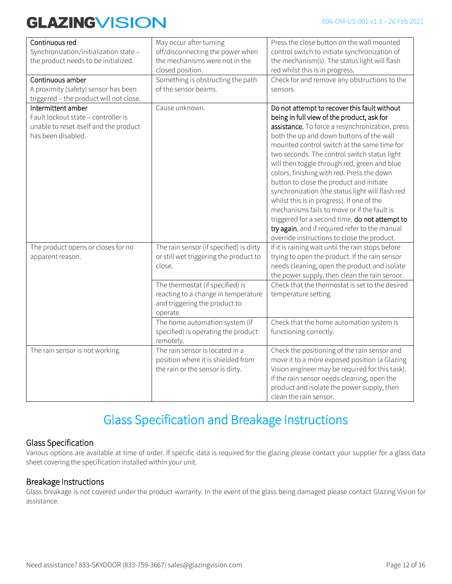| Continuous red<br>Synchronization/initialization state -<br>the product needs to be initialized.                          | May occur after turning<br>off/disconnecting the power when<br>the mechanisms were not in the<br>closed position.               | Press the close button on the wall mounted<br>control switch to initiate synchronization of<br>the mechanism(s). The status light will flash<br>red whilst this is in progress.                                                                                                                                                                                                                                                                                                                                                                                                                                                                                                                                                        |
|---------------------------------------------------------------------------------------------------------------------------|---------------------------------------------------------------------------------------------------------------------------------|----------------------------------------------------------------------------------------------------------------------------------------------------------------------------------------------------------------------------------------------------------------------------------------------------------------------------------------------------------------------------------------------------------------------------------------------------------------------------------------------------------------------------------------------------------------------------------------------------------------------------------------------------------------------------------------------------------------------------------------|
| Continuous amber<br>A proximity (safety) sensor has been<br>triggered - the product will not close.                       | Something is obstructing the path<br>of the sensor beams.                                                                       | Check for and remove any obstructions to the<br>sensors.                                                                                                                                                                                                                                                                                                                                                                                                                                                                                                                                                                                                                                                                               |
| Intermittent amber<br>Fault lockout state - controller is<br>unable to reset itself and the product<br>has been disabled. | Cause unknown.                                                                                                                  | Do not attempt to recover this fault without<br>being in full view of the product, ask for<br>assistance. To force a resynchronization, press<br>both the up and down buttons of the wall<br>mounted control switch at the same time for<br>two seconds. The control switch status light<br>will then toggle through red, green and blue<br>colors, finishing with red. Press the down<br>button to close the product and initiate<br>synchronization (the status light will flash red<br>whilst this is in progress). If one of the<br>mechanisms fails to move or if the fault is<br>triggered for a second time, do not attempt to<br>try again, and if required refer to the manual<br>override instructions to close the product. |
| The product opens or closes for no<br>apparent reason.                                                                    | The rain sensor (if specified) is dirty<br>or still wet triggering the product to<br>close.<br>The thermostat (if specified) is | If it is raining wait until the rain stops before<br>trying to open the product. If the rain sensor<br>needs cleaning, open the product and isolate<br>the power supply, then clean the rain sensor.<br>Check that the thermostat is set to the desired                                                                                                                                                                                                                                                                                                                                                                                                                                                                                |
|                                                                                                                           | reacting to a change in temperature<br>and triggering the product to<br>operate.                                                | temperature setting.                                                                                                                                                                                                                                                                                                                                                                                                                                                                                                                                                                                                                                                                                                                   |
|                                                                                                                           | The home automation system (if<br>specified) is operating the product<br>remotely.                                              | Check that the home automation system is<br>functioning correctly.                                                                                                                                                                                                                                                                                                                                                                                                                                                                                                                                                                                                                                                                     |
| The rain sensor is not working.                                                                                           | The rain sensor is located in a<br>position where it is shielded from<br>the rain or the sensor is dirty.                       | Check the positioning of the rain sensor and<br>move it to a more exposed position (a Glazing<br>Vision engineer may be required for this task).<br>If the rain sensor needs cleaning, open the<br>product and isolate the power supply, then<br>clean the rain sensor.                                                                                                                                                                                                                                                                                                                                                                                                                                                                |

### Glass Specification and Breakage Instructions

#### Glass Specification

Various options are available at time of order. If specific data is required for the glazing please contact your supplier for a glass data sheet covering the specification installed within your unit.

#### Breakage Instructions

Glass breakage is not covered under the product warranty. In the event of the glass being damaged please contact Glazing Vision for assistance.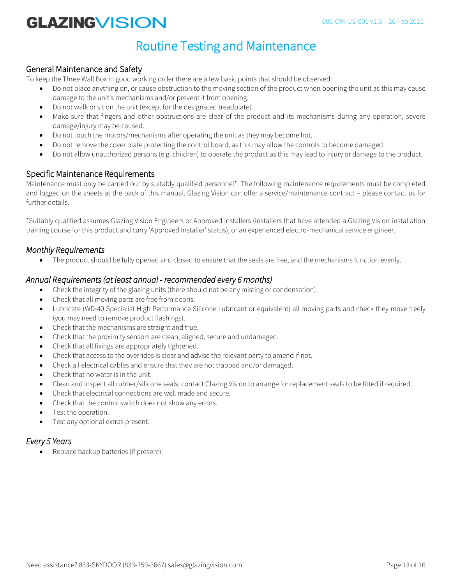### Routine Testing and Maintenance

#### General Maintenance and Safety

To keep the Three Wall Box in good working order there are a few basic points that should be observed:

- Do not place anything on, or cause obstruction to the moving section of the product when opening the unit as this may cause damage to the unit's mechanisms and/or prevent it from opening.
- Do not walk or sit on the unit (except for the designated treadplate).
- Make sure that fingers and other obstructions are clear of the product and its mechanisms during any operation, severe damage/injury may be caused.
- Do not touch the motors/mechanisms after operating the unit as they may become hot.
- Do not remove the cover plate protecting the control board, as this may allow the controls to become damaged.
- Do not allow unauthorized persons (e.g. children) to operate the product as this may lead to injury or damage to the product.

#### Specific Maintenance Requirements

Maintenance must only be carried out by suitably qualified personnel\*. The following maintenance requirements must be completed and logged on the sheets at the back of this manual. Glazing Vision can offer a service/maintenance contract – please contact us for further details.

\*Suitably qualified assumes Glazing Vision Engineers or Approved Installers (installers that have attended a Glazing Vision installation training course for this product and carry 'Approved Installer' status), or an experienced electro-mechanical service engineer.

#### *Monthly Requirements*

• The product should be fully opened and closed to ensure that the seals are free, and the mechanisms function evenly.

#### *Annual Requirements (at least annual - recommended every 6 months)*

- Check the integrity of the glazing units (there should not be any misting or condensation).
- Check that all moving parts are free from debris.
- Lubricate (WD-40 Specialist High Performance Silicone Lubricant or equivalent) all moving parts and check they move freely (you may need to remove product flashings).
- Check that the mechanisms are straight and true.
- Check that the proximity sensors are clean, aligned, secure and undamaged.
- Check that all fixings are appropriately tightened.
- Check that access to the overrides is clear and advise the relevant party to amend if not.
- Check all electrical cables and ensure that they are not trapped and/or damaged.
- Check that no water is in the unit.
- Clean and inspect all rubber/silicone seals, contact Glazing Vision to arrange for replacement seals to be fitted if required.
- Check that electrical connections are well made and secure.
- Check that the control switch does not show any errors.
- Test the operation.
- Test any optional extras present.

#### *Every 5 Years*

Replace backup batteries (if present).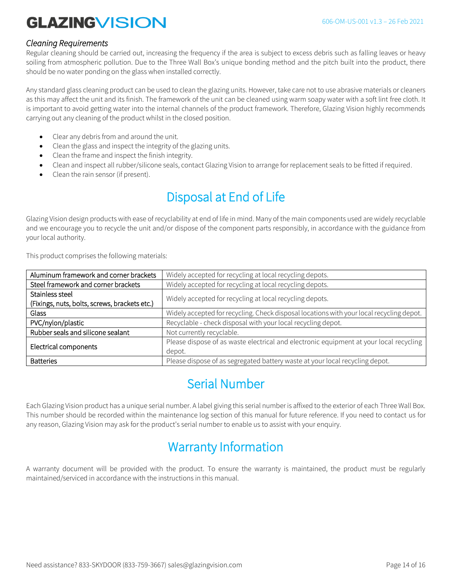#### *Cleaning Requirements*

Regular cleaning should be carried out, increasing the frequency if the area is subject to excess debris such as falling leaves or heavy soiling from atmospheric pollution. Due to the Three Wall Box's unique bonding method and the pitch built into the product, there should be no water ponding on the glass when installed correctly.

Any standard glass cleaning product can be used to clean the glazing units. However, take care not to use abrasive materials or cleaners as this may affect the unit and its finish. The framework of the unit can be cleaned using warm soapy water with a soft lint free cloth. It is important to avoid getting water into the internal channels of the product framework. Therefore, Glazing Vision highly recommends carrying out any cleaning of the product whilst in the closed position.

- Clear any debris from and around the unit.
- Clean the glass and inspect the integrity of the glazing units.
- Clean the frame and inspect the finish integrity.
- Clean and inspect all rubber/silicone seals, contact Glazing Vision to arrange for replacement seals to be fitted if required.
- Clean the rain sensor (if present).

## Disposal at End of Life

Glazing Vision design products with ease of recyclability at end of life in mind. Many of the main components used are widely recyclable and we encourage you to recycle the unit and/or dispose of the component parts responsibly, in accordance with the guidance from your local authority.

This product comprises the following materials:

| Aluminum framework and corner brackets        | Widely accepted for recycling at local recycling depots.                                 |
|-----------------------------------------------|------------------------------------------------------------------------------------------|
| Steel framework and corner brackets           | Widely accepted for recycling at local recycling depots.                                 |
| Stainless steel                               |                                                                                          |
| (Fixings, nuts, bolts, screws, brackets etc.) | Widely accepted for recycling at local recycling depots.                                 |
| Glass                                         | Widely accepted for recycling. Check disposal locations with your local recycling depot. |
| PVC/nylon/plastic                             | Recyclable - check disposal with your local recycling depot.                             |
| Rubber seals and silicone sealant             | Not currently recyclable.                                                                |
|                                               | Please dispose of as waste electrical and electronic equipment at your local recycling   |
| Electrical components                         | depot.                                                                                   |
| <b>Batteries</b>                              | Please dispose of as segregated battery waste at your local recycling depot.             |

### Serial Number

Each Glazing Vision product has a unique serial number. A label giving this serial number is affixed to the exterior of each Three Wall Box. This number should be recorded within the maintenance log section of this manual for future reference. If you need to contact us for any reason, Glazing Vision may ask for the product's serial number to enable us to assist with your enquiry.

### Warranty Information

A warranty document will be provided with the product. To ensure the warranty is maintained, the product must be regularly maintained/serviced in accordance with the instructions in this manual.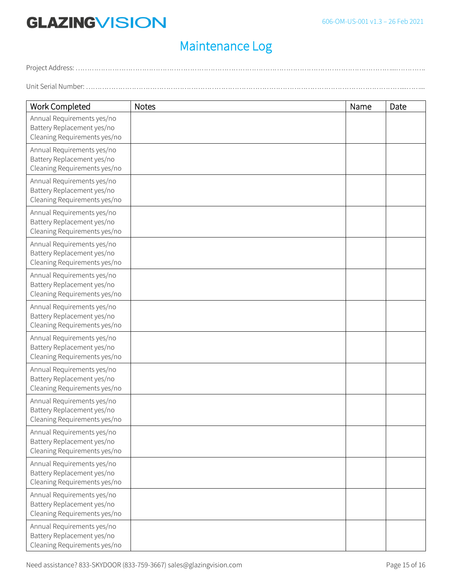## Maintenance Log

Project Address: …………………………………………………………………………………………………………………………...………….

Unit Serial Number: …………………………………………………………………………………………………………………………...……...

| <b>Work Completed</b>                                                                    | <b>Notes</b> | Name | Date |
|------------------------------------------------------------------------------------------|--------------|------|------|
| Annual Requirements yes/no<br>Battery Replacement yes/no<br>Cleaning Requirements yes/no |              |      |      |
| Annual Requirements yes/no<br>Battery Replacement yes/no<br>Cleaning Requirements yes/no |              |      |      |
| Annual Requirements yes/no<br>Battery Replacement yes/no<br>Cleaning Requirements yes/no |              |      |      |
| Annual Requirements yes/no<br>Battery Replacement yes/no<br>Cleaning Requirements yes/no |              |      |      |
| Annual Requirements yes/no<br>Battery Replacement yes/no<br>Cleaning Requirements yes/no |              |      |      |
| Annual Requirements yes/no<br>Battery Replacement yes/no<br>Cleaning Requirements yes/no |              |      |      |
| Annual Requirements yes/no<br>Battery Replacement yes/no<br>Cleaning Requirements yes/no |              |      |      |
| Annual Requirements yes/no<br>Battery Replacement yes/no<br>Cleaning Requirements yes/no |              |      |      |
| Annual Requirements yes/no<br>Battery Replacement yes/no<br>Cleaning Requirements yes/no |              |      |      |
| Annual Requirements yes/no<br>Battery Replacement yes/no<br>Cleaning Requirements yes/no |              |      |      |
| Annual Requirements yes/no<br>Battery Replacement yes/no<br>Cleaning Requirements yes/no |              |      |      |
| Annual Requirements yes/no<br>Battery Replacement yes/no<br>Cleaning Requirements yes/no |              |      |      |
| Annual Requirements yes/no<br>Battery Replacement yes/no<br>Cleaning Requirements yes/no |              |      |      |
| Annual Requirements yes/no<br>Battery Replacement yes/no<br>Cleaning Requirements yes/no |              |      |      |